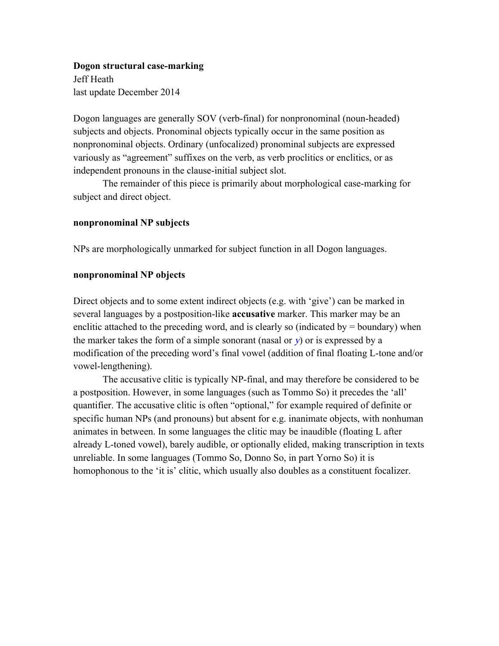#### **Dogon structural case-marking**

Jeff Heath last update December 2014

Dogon languages are generally SOV (verb-final) for nonpronominal (noun-headed) subjects and objects. Pronominal objects typically occur in the same position as nonpronominal objects. Ordinary (unfocalized) pronominal subjects are expressed variously as "agreement" suffixes on the verb, as verb proclitics or enclitics, or as independent pronouns in the clause-initial subject slot.

The remainder of this piece is primarily about morphological case-marking for subject and direct object.

## **nonpronominal NP subjects**

NPs are morphologically unmarked for subject function in all Dogon languages.

### **nonpronominal NP objects**

Direct objects and to some extent indirect objects (e.g. with 'give') can be marked in several languages by a postposition-like **accusative** marker. This marker may be an enclitic attached to the preceding word, and is clearly so (indicated by  $=$  boundary) when the marker takes the form of a simple sonorant (nasal or  $y$ ) or is expressed by a modification of the preceding word's final vowel (addition of final floating L-tone and/or vowel-lengthening).

The accusative clitic is typically NP-final, and may therefore be considered to be a postposition. However, in some languages (such as Tommo So) it precedes the 'all' quantifier. The accusative clitic is often "optional," for example required of definite or specific human NPs (and pronouns) but absent for e.g. inanimate objects, with nonhuman animates in between. In some languages the clitic may be inaudible (floating L after already L-toned vowel), barely audible, or optionally elided, making transcription in texts unreliable. In some languages (Tommo So, Donno So, in part Yorno So) it is homophonous to the 'it is' clitic, which usually also doubles as a constituent focalizer.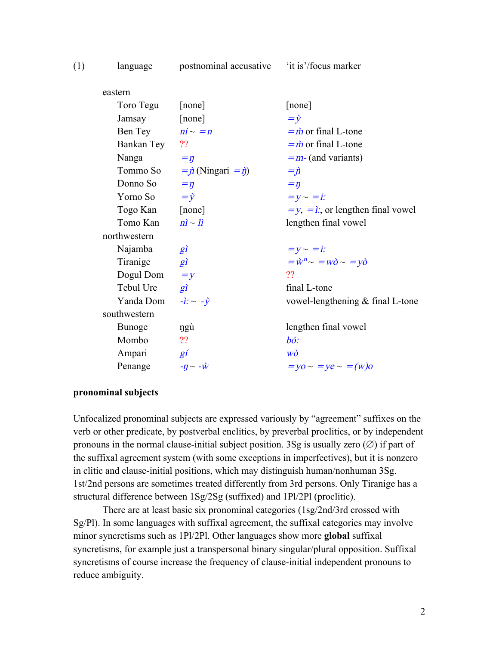| (1) | language                      | postnominal accusative 'it is'/focus marker |                                                  |
|-----|-------------------------------|---------------------------------------------|--------------------------------------------------|
|     | eastern                       |                                             |                                                  |
|     | Toro Tegu                     | [none]                                      | [none]                                           |
|     | Jamsay                        | [none]                                      | $=\dot{y}$                                       |
|     | Ben Tey $ni \sim = n$         |                                             | $=$ <i>m</i> or final L-tone                     |
|     | Bankan Tey ??                 |                                             | $=$ <i>m</i> or final L-tone                     |
|     | Nanga                         | $=$ $\eta$                                  | $=$ <i>m</i> -(and variants)                     |
|     |                               | Tommo So = $\vec{p}$ (Ningari = $\vec{q}$ ) | $=\hat{\mu}$                                     |
|     | Donno So                      | $=\eta$                                     | $=\eta$                                          |
|     | Yorno So $=\dot{y}$           |                                             | $=y \sim = i$ :                                  |
|     | Togo Kan [none]               |                                             | $=y$ , $=\hat{i}$ ; or lengthen final vowel      |
|     | Tomo Kan $ni \sim li$         |                                             | lengthen final vowel                             |
|     | northwestern                  |                                             |                                                  |
|     | Najamba                       | $g\hat{i}$                                  | $= y \sim = i$ :                                 |
|     | Tiranige                      | $g\hat{i}$                                  | $=\dot{w}^n \sim =w\dot{\rho} \sim =y\dot{\rho}$ |
|     | Dogul Dom $=y$                |                                             | ??                                               |
|     | Tebul Ure                     | $g\hat{i}$                                  | final L-tone                                     |
|     | Yanda Dom                     | $-\hat{i}: \sim -\hat{y}$                   | vowel-lengthening & final L-tone                 |
|     | southwestern                  |                                             |                                                  |
|     | Bunoge                        | ngù                                         | lengthen final vowel                             |
|     | Mombo                         | ??                                          | $b\acute{o}$ :                                   |
|     | Ampari gí                     |                                             | WÒ                                               |
|     | Penange $-\eta \sim -\hat{w}$ |                                             | $=$ yo $\sim$ = ye $\sim$ = (w)o                 |
|     |                               |                                             |                                                  |

#### **pronominal subjects**

Unfocalized pronominal subjects are expressed variously by "agreement" suffixes on the verb or other predicate, by postverbal enclitics, by preverbal proclitics, or by independent pronouns in the normal clause-initial subject position. 3Sg is usually zero  $(\emptyset)$  if part of the suffixal agreement system (with some exceptions in imperfectives), but it is nonzero in clitic and clause-initial positions, which may distinguish human/nonhuman 3Sg. 1st/2nd persons are sometimes treated differently from 3rd persons. Only Tiranige has a structural difference between 1Sg/2Sg (suffixed) and 1Pl/2Pl (proclitic).

There are at least basic six pronominal categories (1sg/2nd/3rd crossed with Sg/Pl). In some languages with suffixal agreement, the suffixal categories may involve minor syncretisms such as 1Pl/2Pl. Other languages show more **global** suffixal syncretisms, for example just a transpersonal binary singular/plural opposition. Suffixal syncretisms of course increase the frequency of clause-initial independent pronouns to reduce ambiguity.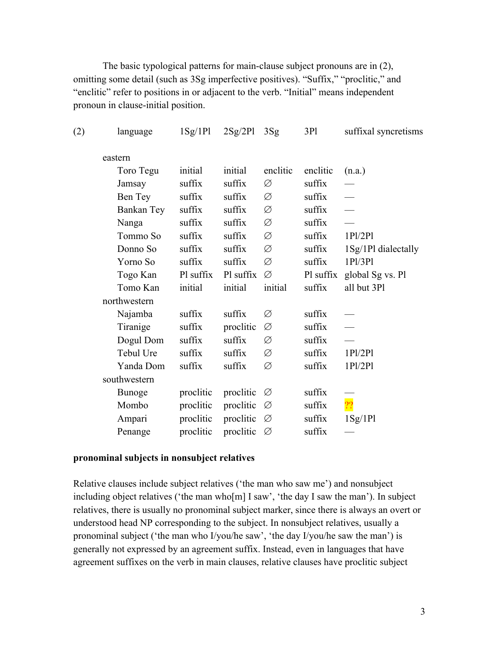The basic typological patterns for main-clause subject pronouns are in (2), omitting some detail (such as 3Sg imperfective positives). "Suffix," "proclitic," and "enclitic" refer to positions in or adjacent to the verb. "Initial" means independent pronoun in clause-initial position.

| (2) | language      | 1Sg/1Pl   | $2Sg/2Pl$ $3Sg$ |          | 3P1       | suffixal syncretisms |
|-----|---------------|-----------|-----------------|----------|-----------|----------------------|
|     | eastern       |           |                 |          |           |                      |
|     | Toro Tegu     | initial   | initial         | enclitic | enclitic  | (n.a.)               |
|     | Jamsay        | suffix    | suffix          | Ø        | suffix    |                      |
|     | Ben Tey       | suffix    | suffix          | Ø        | suffix    |                      |
|     | Bankan Tey    | suffix    | suffix          | Ø        | suffix    |                      |
|     | Nanga         | suffix    | suffix          | Ø        | suffix    |                      |
|     | Tommo So      | suffix    | suffix          | Ø        | suffix    | 1P1/2P1              |
|     | Donno So      | suffix    | suffix          | Ø        | suffix    | 1Sg/1Pl dialectally  |
|     | Yorno So      | suffix    | suffix          | Ø        | suffix    | 1P1/3P1              |
|     | Togo Kan      | Pl suffix | Pl suffix       | Ø        | Pl suffix | global Sg vs. Pl     |
|     | Tomo Kan      | initial   | initial         | initial  | suffix    | all but 3Pl          |
|     | northwestern  |           |                 |          |           |                      |
|     | Najamba       | suffix    | suffix          | Ø        | suffix    |                      |
|     | Tiranige      | suffix    | proclitic       | Ø        | suffix    |                      |
|     | Dogul Dom     | suffix    | suffix          | Ø        | suffix    |                      |
|     | Tebul Ure     | suffix    | suffix          | Ø        | suffix    | 1P1/2P1              |
|     | Yanda Dom     | suffix    | suffix          | Ø        | suffix    | 1P1/2P1              |
|     | southwestern  |           |                 |          |           |                      |
|     | <b>Bunoge</b> | proclitic | proclitic       | Ø        | suffix    |                      |
|     | Mombo         | proclitic | proclitic       | Ø        | suffix    | $\overline{22}$      |
|     | Ampari        | proclitic | proclitic       | Ø        | suffix    | 1Sg/1Pl              |
|     | Penange       | proclitic | proclitic       | Ø        | suffix    |                      |

## **pronominal subjects in nonsubject relatives**

Relative clauses include subject relatives ('the man who saw me') and nonsubject including object relatives ('the man who[m] I saw', 'the day I saw the man'). In subject relatives, there is usually no pronominal subject marker, since there is always an overt or understood head NP corresponding to the subject. In nonsubject relatives, usually a pronominal subject ('the man who I/you/he saw', 'the day I/you/he saw the man') is generally not expressed by an agreement suffix. Instead, even in languages that have agreement suffixes on the verb in main clauses, relative clauses have proclitic subject